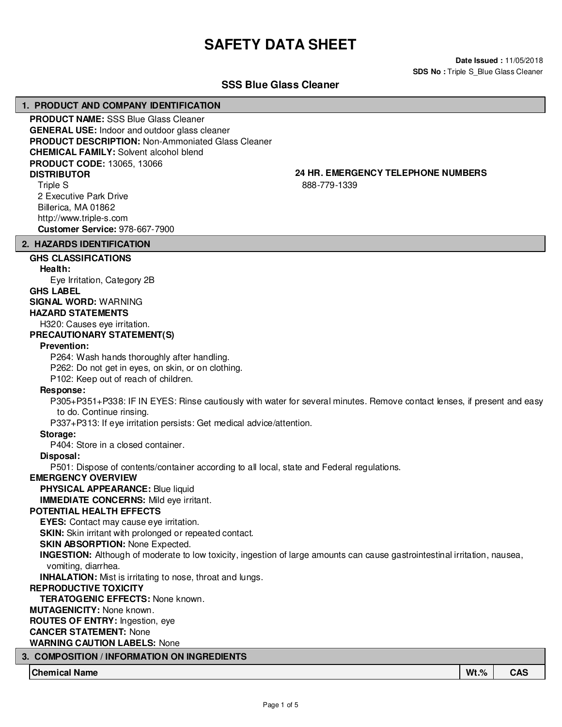# **SAFETY DATA SHEET**

**Date Issued :** 11/05/2018 **SDS No : Triple S\_Blue Glass Cleaner** 

# **SSS Blue Glass Cleaner**

#### **1. PRODUCT AND COMPANY IDENTIFICATION**

**PRODUCT NAME:** SSS Blue Glass Cleaner **GENERAL USE:** Indoor and outdoor glass cleaner **PRODUCT DESCRIPTION:** Non-Ammoniated Glass Cleaner **CHEMICAL FAMILY:** Solvent alcohol blend **PRODUCT CODE:** 13065, 13066 **DISTRIBUTOR 24 HR. EMERGENCY TELEPHONE NUMBERS** Triple S

2 Executive Park Drive Billerica, MA 01862 http://www.triple-s.com **Customer Service:** 978-667-7900

888-779-1339

#### **2. HAZARDS IDENTIFICATION**

# **GHS CLASSIFICATIONS**

**Health:** Eye Irritation, Category 2B **GHS LABEL SIGNAL WORD:** WARNING

# **HAZARD STATEMENTS**

H320: Causes eye irritation.

# **PRECAUTIONARY STATEMENT(S)**

#### **Prevention:**

P264: Wash hands thoroughly after handling.

P262: Do not get in eyes, on skin, or on clothing.

P102: Keep out of reach of children.

#### **Response:**

P305+P351+P338: IF IN EYES: Rinse cautiously with water for several minutes. Remove contact lenses, if present and easy to do. Continue rinsing.

P337+P313: If eye irritation persists: Get medical advice/attention.

#### **Storage:**

P404: Store in a closed container.

#### **Disposal:**

P501: Dispose of contents/container according to all local, state and Federal regulations.

#### **EMERGENCY OVERVIEW**

**PHYSICAL APPEARANCE:** Blue liquid

**IMMEDIATE CONCERNS:** Mild eye irritant.

# **POTENTIAL HEALTH EFFECTS**

**EYES:** Contact may cause eye irritation.

**SKIN:** Skin irritant with prolonged or repeated contact.

# **SKIN ABSORPTION: None Expected.**

**INGESTION:** Although of moderate to low toxicity, ingestion of large amounts can cause gastrointestinal irritation, nausea, vomiting, diarrhea.

**INHALATION:** Mist is irritating to nose, throat and lungs.

### **REPRODUCTIVE TOXICITY**

**TERATOGENIC EFFECTS:** None known.

#### **MUTAGENICITY:** None known.

**ROUTES OF ENTRY:** Ingestion, eye

#### **CANCER STATEMENT:** None

#### **WARNING CAUTION LABELS:** None

# **3. COMPOSITION / INFORMATION ON INGREDIENTS**

**Chemical Name Wt.% CAS**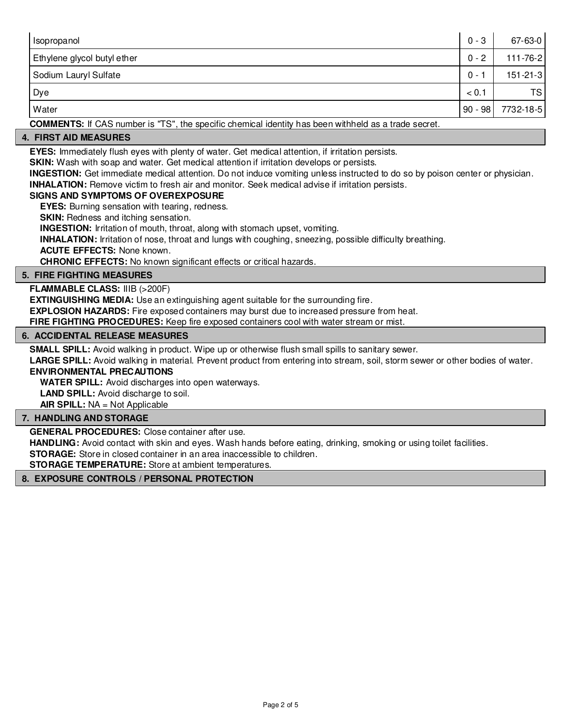| Isopropanol                 | $0 - 3$   | $67 - 63 - 0$  |
|-----------------------------|-----------|----------------|
| Ethylene glycol butyl ether | $0 - 2$   | 111-76-2       |
| Sodium Lauryl Sulfate       | $0 - 1$   | $151 - 21 - 3$ |
| Dye                         | < 0.1     | TS I           |
| Water                       | $90 - 98$ | 7732-18-5      |

**COMMENTS:** If CAS number is "TS", the specific chemical identity has been withheld as a trade secret.

# **4. FIRST AID MEASURES**

**EYES:** Immediately flush eyes with plenty of water. Get medical attention, if irritation persists.

**SKIN:** Wash with soap and water. Get medical attention if irritation develops or persists.

**INGESTION:** Get immediate medical attention. Do not induce vomiting unless instructed to do so by poison center or physician.

**INHALATION:** Remove victim to fresh air and monitor. Seek medical advise if irritation persists.

### **SIGNS AND SYMPTOMS OF OVEREXPOSURE**

**EYES:** Burning sensation with tearing, redness.

**SKIN:** Redness and itching sensation.

**INGESTION:** Irritation of mouth, throat, along with stomach upset, vomiting.

**INHALATION:** Irritation of nose, throat and lungs with coughing, sneezing, possible difficulty breathing.

**ACUTE EFFECTS:** None known.

**CHRONIC EFFECTS:** No known significant effects or critical hazards.

### **5. FIRE FIGHTING MEASURES**

**FLAMMABLE CLASS:** IIIB (>200F)

**EXTINGUISHING MEDIA:** Use an extinguishing agent suitable for the surrounding fire.

**EXPLOSION HAZARDS:** Fire exposed containers may burst due to increased pressure from heat.

**FIRE FIGHTING PROCEDURES:** Keep fire exposed containers cool with water stream or mist.

### **6. ACCIDENTAL RELEASE MEASURES**

**SMALL SPILL:** Avoid walking in product. Wipe up or otherwise flush small spills to sanitary sewer.

**LARGE SPILL:** Avoid walking in material. Prevent product from entering into stream, soil, storm sewer or other bodies of water. **ENVIRONMENTAL PRECAUTIONS**

**WATER SPILL:** Avoid discharges into open waterways.

**LAND SPILL:** Avoid discharge to soil.

**AIR SPILL:** NA = Not Applicable

#### **7. HANDLING AND STORAGE**

**GENERAL PROCEDURES:** Close container after use.

**HANDLING:** Avoid contact with skin and eyes. Wash hands before eating, drinking, smoking or using toilet facilities.

**STORAGE:** Store in closed container in an area inaccessible to children.

**STORAGE TEMPERATURE:** Store at ambient temperatures.

### **8. EXPOSURE CONTROLS / PERSONAL PROTECTION**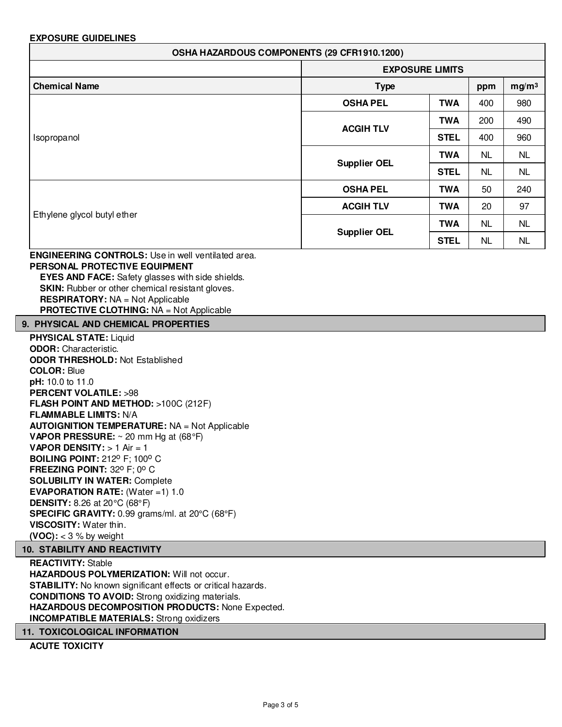# **EXPOSURE GUIDELINES**

| OSHA HAZARDOUS COMPONENTS (29 CFR1910.1200)                                                                                                                                                                                                                                                                                                                                        |                     |                        |           |                   |
|------------------------------------------------------------------------------------------------------------------------------------------------------------------------------------------------------------------------------------------------------------------------------------------------------------------------------------------------------------------------------------|---------------------|------------------------|-----------|-------------------|
|                                                                                                                                                                                                                                                                                                                                                                                    |                     | <b>EXPOSURE LIMITS</b> |           |                   |
| <b>Chemical Name</b>                                                                                                                                                                                                                                                                                                                                                               | <b>Type</b>         |                        |           | mg/m <sup>3</sup> |
|                                                                                                                                                                                                                                                                                                                                                                                    | <b>OSHA PEL</b>     | <b>TWA</b>             | 400       | 980               |
|                                                                                                                                                                                                                                                                                                                                                                                    |                     | <b>TWA</b>             | 200       | 490               |
| Isopropanol                                                                                                                                                                                                                                                                                                                                                                        | <b>ACGIH TLV</b>    | <b>STEL</b>            | 400       | 960               |
|                                                                                                                                                                                                                                                                                                                                                                                    | <b>Supplier OEL</b> | <b>TWA</b>             | <b>NL</b> | <b>NL</b>         |
|                                                                                                                                                                                                                                                                                                                                                                                    |                     | <b>STEL</b>            | <b>NL</b> | NL                |
|                                                                                                                                                                                                                                                                                                                                                                                    | <b>OSHA PEL</b>     | <b>TWA</b>             | 50        | 240               |
|                                                                                                                                                                                                                                                                                                                                                                                    | <b>ACGIH TLV</b>    | <b>TWA</b>             | 20        | 97                |
| Ethylene glycol butyl ether                                                                                                                                                                                                                                                                                                                                                        | <b>Supplier OEL</b> | <b>TWA</b>             | <b>NL</b> | <b>NL</b>         |
|                                                                                                                                                                                                                                                                                                                                                                                    |                     | <b>STEL</b>            | <b>NL</b> | <b>NL</b>         |
| <b>EYES AND FACE:</b> Safety glasses with side shields.<br>SKIN: Rubber or other chemical resistant gloves.<br><b>RESPIRATORY: NA = Not Applicable</b><br><b>PROTECTIVE CLOTHING: NA = Not Applicable</b>                                                                                                                                                                          |                     |                        |           |                   |
| 9. PHYSICAL AND CHEMICAL PROPERTIES                                                                                                                                                                                                                                                                                                                                                |                     |                        |           |                   |
| <b>PHYSICAL STATE: Liquid</b><br><b>ODOR:</b> Characteristic.<br><b>ODOR THRESHOLD: Not Established</b><br><b>COLOR: Blue</b><br>pH: 10.0 to 11.0<br><b>PERCENT VOLATILE: &gt;98</b><br>FLASH POINT AND METHOD: >100C (212F)<br><b>FLAMMABLE LIMITS: N/A</b><br><b>AUTOIGNITION TEMPERATURE: NA = Not Applicable</b><br><b>VAPOR PRESSURE:</b> $\sim$ 20 mm Hg at (68 $\degree$ F) |                     |                        |           |                   |
| <b>VAPOR DENSITY:</b> $> 1$ Air = 1<br><b>BOILING POINT: 212º F; 100° C</b><br><b>FREEZING POINT</b> 320 F: 00 C.                                                                                                                                                                                                                                                                  |                     |                        |           |                   |

**FREEZING POINT:** 32° F; 0° C **SOLUBILITY IN WATER:** Complete **EVAPORATION RATE:** (Water =1) 1.0 **DENSITY:** 8.26 at 20°C (68°F) **SPECIFIC GRAVITY:** 0.99 grams/ml. at 20°C (68°F) **VISCOSITY:** Water thin. **(VOC):** < 3 % by weight

### **10. STABILITY AND REACTIVITY**

**REACTIVITY:** Stable **HAZARDOUS POLYMERIZATION:** Will not occur. **STABILITY:** No known significant effects or critical hazards. **CONDITIONS TO AVOID:** Strong oxidizing materials. **HAZARDOUS DECOMPOSITION PRODUCTS:** None Expected. **INCOMPATIBLE MATERIALS:** Strong oxidizers

# **11. TOXICOLOGICAL INFORMATION**

**ACUTE TOXICITY**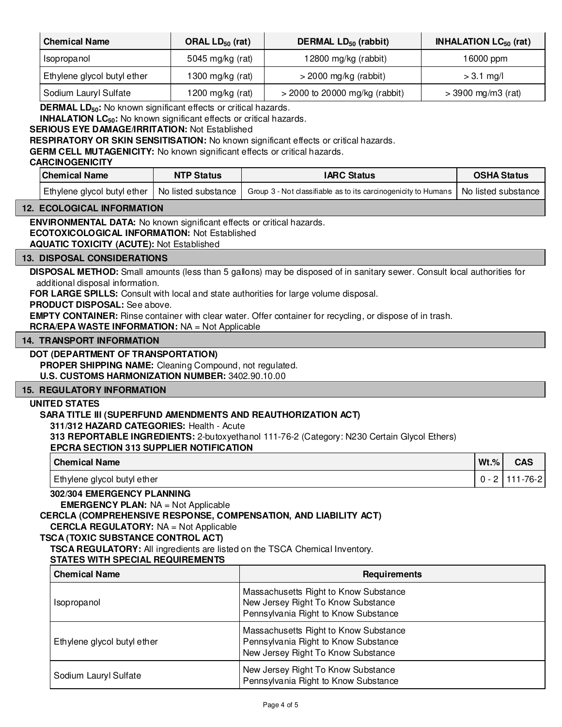| <b>Chemical Name</b>                                                                                                                                                                                                                                                                                                                                                                                                                                                                                                                        | ORAL LD <sub>50</sub> (rat) | DERMAL LD <sub>50</sub> (rabbit)                                                                                                                                                                                                                                                                                                      | <b>INHALATION LC<sub>50</sub></b> (rat) |                       |
|---------------------------------------------------------------------------------------------------------------------------------------------------------------------------------------------------------------------------------------------------------------------------------------------------------------------------------------------------------------------------------------------------------------------------------------------------------------------------------------------------------------------------------------------|-----------------------------|---------------------------------------------------------------------------------------------------------------------------------------------------------------------------------------------------------------------------------------------------------------------------------------------------------------------------------------|-----------------------------------------|-----------------------|
| Isopropanol                                                                                                                                                                                                                                                                                                                                                                                                                                                                                                                                 | 5045 mg/kg (rat)            | 12800 mg/kg (rabbit)                                                                                                                                                                                                                                                                                                                  |                                         | 16000 ppm             |
| Ethylene glycol butyl ether                                                                                                                                                                                                                                                                                                                                                                                                                                                                                                                 | 1300 mg/kg $(rat)$          | $>$ 2000 mg/kg (rabbit)                                                                                                                                                                                                                                                                                                               |                                         | $> 3.1$ mg/l          |
| Sodium Lauryl Sulfate                                                                                                                                                                                                                                                                                                                                                                                                                                                                                                                       | 1200 mg/kg $(rat)$          | $>$ 2000 to 20000 mg/kg (rabbit)                                                                                                                                                                                                                                                                                                      | $> 3900$ mg/m3 (rat)                    |                       |
| <b>DERMAL LD<sub>50</sub>:</b> No known significant effects or critical hazards.<br><b>INHALATION LC<sub>50</sub>:</b> No known significant effects or critical hazards.<br><b>SERIOUS EYE DAMAGE/IRRITATION: Not Established</b><br><b>GERM CELL MUTAGENICITY:</b> No known significant effects or critical hazards.<br><b>CARCINOGENICITY</b>                                                                                                                                                                                             |                             | <b>RESPIRATORY OR SKIN SENSITISATION:</b> No known significant effects or critical hazards.                                                                                                                                                                                                                                           |                                         |                       |
| <b>Chemical Name</b>                                                                                                                                                                                                                                                                                                                                                                                                                                                                                                                        | <b>NTP Status</b>           | <b>IARC Status</b>                                                                                                                                                                                                                                                                                                                    |                                         | <b>OSHA Status</b>    |
| Ethylene glycol butyl ether                                                                                                                                                                                                                                                                                                                                                                                                                                                                                                                 | No listed substance         | Group 3 - Not classifiable as to its carcinogenicity to Humans                                                                                                                                                                                                                                                                        |                                         | No listed substance   |
| <b>12. ECOLOGICAL INFORMATION</b>                                                                                                                                                                                                                                                                                                                                                                                                                                                                                                           |                             |                                                                                                                                                                                                                                                                                                                                       |                                         |                       |
| <b>AQUATIC TOXICITY (ACUTE): Not Established</b><br><b>13. DISPOSAL CONSIDERATIONS</b><br>additional disposal information.<br>PRODUCT DISPOSAL: See above.<br><b>RCRA/EPA WASTE INFORMATION: NA = Not Applicable</b><br><b>14. TRANSPORT INFORMATION</b><br>DOT (DEPARTMENT OF TRANSPORTATION)<br>PROPER SHIPPING NAME: Cleaning Compound, not regulated.<br>U.S. CUSTOMS HARMONIZATION NUMBER: 3402.90.10.00<br><b>15. REGULATORY INFORMATION</b><br><b>UNITED STATES</b><br>SARA TITLE III (SUPERFUND AMENDMENTS AND REAUTHORIZATION ACT) |                             | DISPOSAL METHOD: Small amounts (less than 5 gallons) may be disposed of in sanitary sewer. Consult local authorities for<br>FOR LARGE SPILLS: Consult with local and state authorities for large volume disposal.<br><b>EMPTY CONTAINER:</b> Rinse container with clear water. Offer container for recycling, or dispose of in trash. |                                         |                       |
| 311/312 HAZARD CATEGORIES: Health - Acute                                                                                                                                                                                                                                                                                                                                                                                                                                                                                                   |                             | 313 REPORTABLE INGREDIENTS: 2-butoxyethanol 111-76-2 (Category: N230 Certain Glycol Ethers)                                                                                                                                                                                                                                           |                                         |                       |
| <b>EPCRA SECTION 313 SUPPLIER NOTIFICATION</b><br><b>Chemical Name</b>                                                                                                                                                                                                                                                                                                                                                                                                                                                                      |                             |                                                                                                                                                                                                                                                                                                                                       |                                         | $Wt.\%$<br><b>CAS</b> |
| Ethylene glycol butyl ether                                                                                                                                                                                                                                                                                                                                                                                                                                                                                                                 |                             |                                                                                                                                                                                                                                                                                                                                       |                                         | $0 - 2$<br>111-76-2   |
| 302/304 EMERGENCY PLANNING<br><b>EMERGENCY PLAN: NA = Not Applicable</b><br><b>CERCLA REGULATORY: NA = Not Applicable</b><br><b>TSCA (TOXIC SUBSTANCE CONTROL ACT)</b><br><b>STATES WITH SPECIAL REQUIREMENTS</b>                                                                                                                                                                                                                                                                                                                           |                             | CERCLA (COMPREHENSIVE RESPONSE, COMPENSATION, AND LIABILITY ACT)<br>TSCA REGULATORY: All ingredients are listed on the TSCA Chemical Inventory.                                                                                                                                                                                       |                                         |                       |
| <b>Chemical Name</b>                                                                                                                                                                                                                                                                                                                                                                                                                                                                                                                        |                             | <b>Requirements</b>                                                                                                                                                                                                                                                                                                                   |                                         |                       |
| Isopropanol                                                                                                                                                                                                                                                                                                                                                                                                                                                                                                                                 |                             | Massachusetts Right to Know Substance<br>New Jersey Right To Know Substance<br>Pennsylvania Right to Know Substance                                                                                                                                                                                                                   |                                         |                       |
| Ethylene glycol butyl ether                                                                                                                                                                                                                                                                                                                                                                                                                                                                                                                 |                             | Massachusetts Right to Know Substance<br>Pennsylvania Right to Know Substance<br>New Jersey Right To Know Substance                                                                                                                                                                                                                   |                                         |                       |

Sodium Lauryl Sulfate New Jersey Right To Know Substance Pennsylvania Right to Know Substance